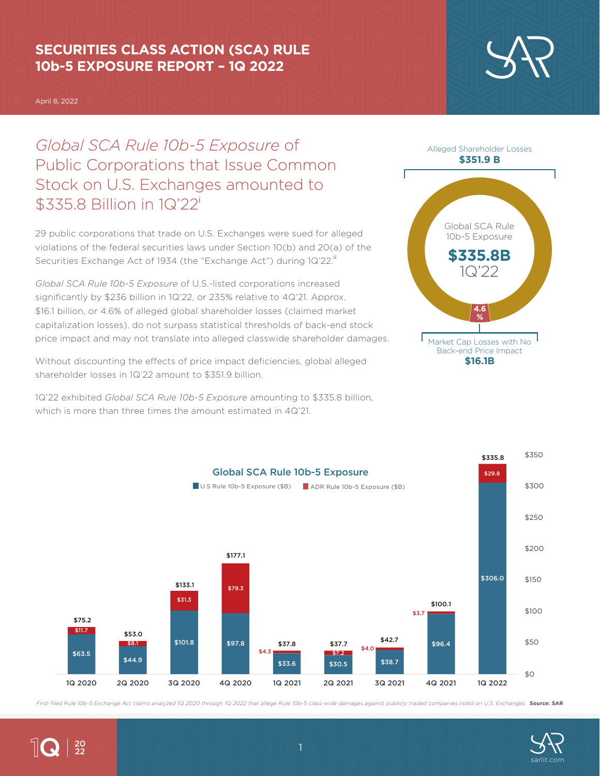## **SECURITIES CLASS ACTION (SCA) RULE 10b-5 EXPOSURE REPORT – 1Q 2022**

April 8, 2022

 $\|$ Q  $|_{\frac{20}{22}}$ 

*Global SCA Rule 10b-5 Exposure* of Public Corporations that Issue Common Stock on U.S. Exchanges amounted to \$335.8 Billion in 1Q'22<sup>i</sup>

29 public corporations that trade on U.S. Exchanges were sued for alleged violations of the federal securities laws under Section 10(b) and 20(a) of the Securities Exchange Act of 1934 (the "Exchange Act") during 1Q'22.<sup>ii</sup>

*Global SCA Rule 10b-5 Exposure* of U.S.-listed corporations increased significantly by \$236 billion in 1Q'22, or 235% relative to 4Q'21. Approx. \$16.1 billion, or 4.6% of alleged global shareholder losses (claimed market capitalization losses), do not surpass statistical thresholds of back-end stock price impact and may not translate into alleged classwide shareholder damages.

Without discounting the effects of price impact deficiencies, global alleged shareholder losses in 1Q'22 amount to \$351.9 billion.

1Q'22 exhibited *Global SCA Rule 10b-5 Exposure* amounting to \$335.8 billion, which is more than three times the amount estimated in 4Q'21.



First-filed Rule 10b-5 Exchange Act claims analyzed 1Q 2020 through 1Q 2022 that allege Rule 10b-5 class-wide damages against publicly traded companies listed on U.S. Exchanges. **Source: SAR** 





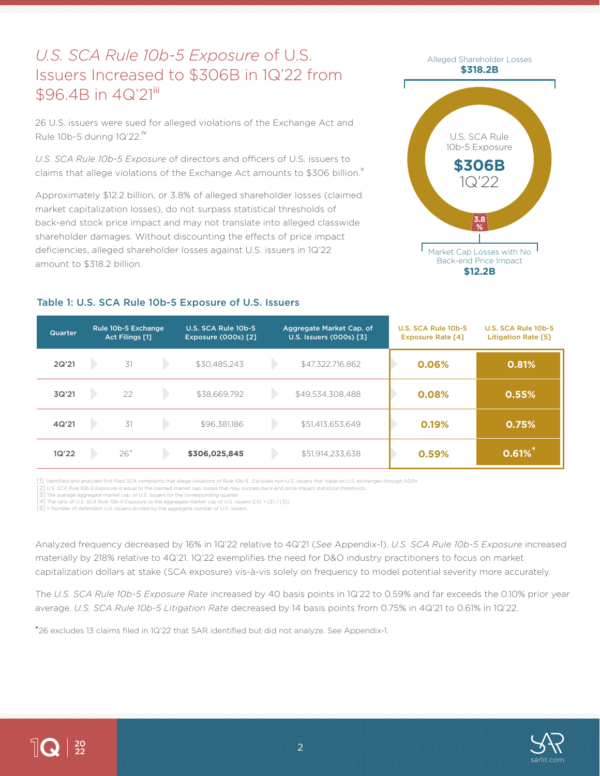# *U.S. SCA Rule 10b-5 Exposure* of U.S. Issuers Increased to \$306B in 1Q'22 from \$96.4B in 4Q'21iii

26 U.S. issuers were sued for alleged violations of the Exchange Act and Rule 10b-5 during  $1Q'22.^{\text{iv}}$ 

*U.S. SCA Rule 10b-5 Exposure* of directors and officers of U.S. issuers to claims that allege violations of the Exchange Act amounts to \$306 billion.

Approximately \$12.2 billion, or 3.8% of alleged shareholder losses (claimed market capitalization losses), do not surpass statistical thresholds of back-end stock price impact and may not translate into alleged classwide shareholder damages. Without discounting the effects of price impact deficiencies, alleged shareholder losses against U.S. issuers in 1Q'22 amount to \$318.2 billion.



### Table 1: U.S. SCA Rule 10b-5 Exposure of U.S. Issuers

| <b>Quarter</b> | Rule 10b-5 Exchange<br><b>Act Filings [1]</b> | U.S. SCA Rule 10b-5<br><b>Exposure (000s) [2]</b> | Aggregate Market Cap. of<br>U.S. Issuers (000s) [3] | U.S. SCA Rule 10b-5<br><b>Exposure Rate [4]</b> | U.S. SCA Rule 10b-5<br><b>Litigation Rate [5]</b> |
|----------------|-----------------------------------------------|---------------------------------------------------|-----------------------------------------------------|-------------------------------------------------|---------------------------------------------------|
| 2Q'21          | 31                                            | \$30,485,243                                      | \$47,322,716,862                                    | 0.06%                                           | 0.81%                                             |
| 3Q'21          | 22                                            | \$38,669,792                                      | \$49,534,308,488                                    | 0.08%                                           | 0.55%                                             |
| 4Q'21          | 31                                            | \$96,381,186                                      | \$51,413,653,649                                    | 0.19%                                           | 0.75%                                             |
| 1Q'22          | $26*$                                         | \$306,025,845                                     | \$51,914,233,638                                    | 0.59%                                           | $0.61\%$                                          |

[1] Identified and analyzed first-filed SCA complaints that allege violations of Rule 10b-5. Excludes non-U.S. issuers that trade on U.S. exchanges through ADRs.

[2] *U.S. SCA Rule 10b-5 Exposure* is equal to the claimed market cap. losses that may surpass back-end price impact statistical thresholds.

[3] The average aggregate market cap. of U.S. issuers for the corresponding quarter. [4] The ratio of *U.S. SCA Rule 10b-5 Exposure* to the aggregate market cap of U.S. issuers ([4] = [2] / [3]).

[5] = Number of defendant U.S. issuers divided by the aggregate number of U.S. issuers.

Analyzed frequency decreased by 16% in 1Q'22 relative to 4Q'21 (*See* Appendix-1). *U.S. SCA Rule 10b-5 Exposure* increased materially by 218% relative to 4Q'21. 1Q'22 exemplifies the need for D&O industry practitioners to focus on market capitalization dollars at stake (SCA exposure) vis-à-vis solely on frequency to model potential severity more accurately.

The *U.S. SCA Rule 10b-5 Exposure Rate* increased by 40 basis points in 1Q'22 to 0.59% and far exceeds the 0.10% prior year average. *U.S. SCA Rule 10b-5 Litigation Rate* decreased by 14 basis points from 0.75% in 4Q'21 to 0.61% in 1Q'22.

**\***26 excludes 13 claims filed in 1Q'22 that SAR identified but did not analyze. See Appendix-1.



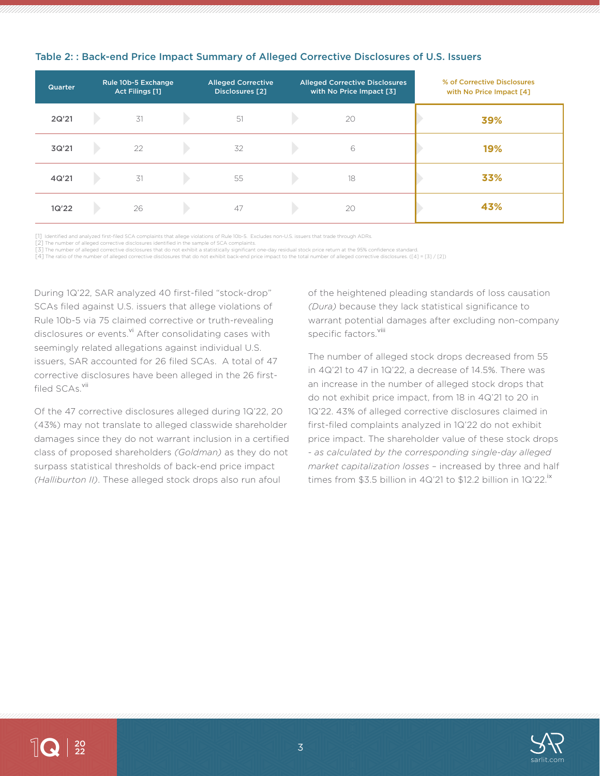| Quarter | Rule 10b-5 Exchange<br>Act Filings [1] | <b>Alleged Corrective</b><br>Disclosures [2] | <b>Alleged Corrective Disclosures</b><br>with No Price Impact [3] | % of Corrective Disclosures<br>with No Price Impact [4] |
|---------|----------------------------------------|----------------------------------------------|-------------------------------------------------------------------|---------------------------------------------------------|
| 2Q'21   | 31                                     | 51                                           | 20                                                                | 39%                                                     |
| 3Q'21   | 22                                     | 32                                           | 6                                                                 | 19%                                                     |
| 4Q'21   | 31                                     | 55                                           | 18                                                                | 33%                                                     |
| 1Q'22   | 26                                     | 47                                           | 20                                                                | 43%                                                     |

#### Table 2: : Back-end Price Impact Summary of Alleged Corrective Disclosures of U.S. Issuers

[1] Identified and analyzed first-filed SCA complaints that allege violations of Rule 10b-5. Excludes non-U.S. issuers that trade through ADRs.

[2] The number of alleged corrective disclosures identified in the sample of SCA complaints.

[3] The number of alleged corrective disclosures that do not exhibit a statistically significant one-day residual stock price return at the 95% confidence standard. [4] The ratio of the number of alleged corrective disclosures that do not exhibit back-end price impact to the total number of alleged corrective disclosures. ([4] = [3] / [2])

During 1Q'22, SAR analyzed 40 first-filed "stock-drop" SCAs filed against U.S. issuers that allege violations of Rule 10b-5 via 75 claimed corrective or truth-revealing disclosures or events.<sup>vi</sup> After consolidating cases with seemingly related allegations against individual U.S. issuers, SAR accounted for 26 filed SCAs. A total of 47 corrective disclosures have been alleged in the 26 firstfiled SCAs.<sup>vii</sup>

Of the 47 corrective disclosures alleged during 1Q'22, 20 (43%) may not translate to alleged classwide shareholder damages since they do not warrant inclusion in a certified class of proposed shareholders *(Goldman)* as they do not surpass statistical thresholds of back-end price impact *(Halliburton II)*. These alleged stock drops also run afoul

of the heightened pleading standards of loss causation *(Dura)* because they lack statistical significance to warrant potential damages after excluding non-company specific factors.<sup>viii</sup>

The number of alleged stock drops decreased from 55 in 4Q'21 to 47 in 1Q'22, a decrease of 14.5%. There was an increase in the number of alleged stock drops that do not exhibit price impact, from 18 in 4Q'21 to 20 in 1Q'22. 43% of alleged corrective disclosures claimed in first-filed complaints analyzed in 1Q'22 do not exhibit price impact. The shareholder value of these stock drops - *as calculated by the corresponding single-day alleged market capitalization losses* – increased by three and half times from \$3.5 billion in 4Q'21 to \$12.2 billion in 1Q'22.<sup>ix</sup>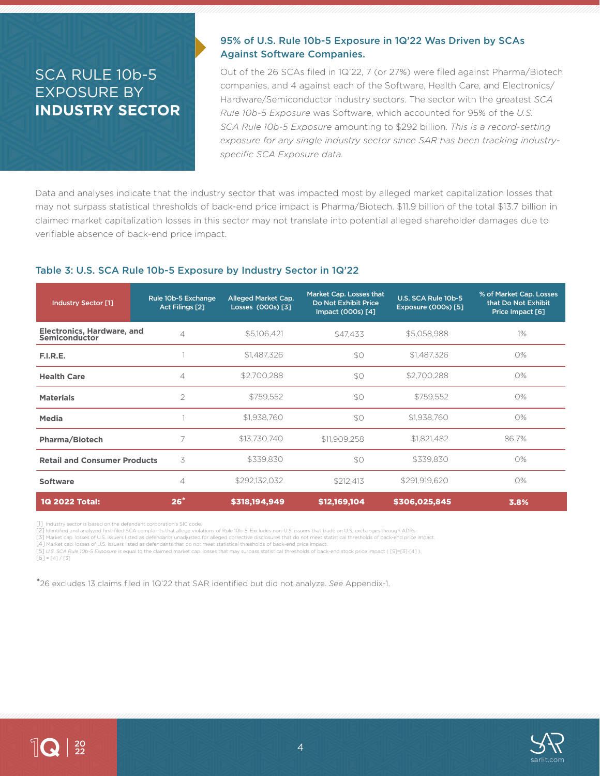## SCA RULE 10b-5 EXPOSURE BY **INDUSTRY SECTOR**

### 95% of U.S. Rule 10b-5 Exposure in 1Q'22 Was Driven by SCAs Against Software Companies.

Out of the 26 SCAs filed in 1Q'22, 7 (or 27%) were filed against Pharma/Biotech companies, and 4 against each of the Software, Health Care, and Electronics/ Hardware/Semiconductor industry sectors. The sector with the greatest *SCA Rule 10b-5 Exposure* was Software, which accounted for 95% of the *U.S. SCA Rule 10b-5 Exposure* amounting to \$292 billion. *This is a record-setting exposure for any single industry sector since SAR has been tracking industryspecific SCA Exposure data.* 

Data and analyses indicate that the industry sector that was impacted most by alleged market capitalization losses that may not surpass statistical thresholds of back-end price impact is Pharma/Biotech. \$11.9 billion of the total \$13.7 billion in claimed market capitalization losses in this sector may not translate into potential alleged shareholder damages due to verifiable absence of back-end price impact.

#### Table 3: U.S. SCA Rule 10b-5 Exposure by Industry Sector in 1Q'22

| Industry Sector [1]                                | Rule 10b-5 Exchange<br>Act Filings [2] | Alleged Market Cap.<br>Losses (000s) [3] | Market Cap. Losses that<br>Do Not Exhibit Price<br>Impact (000s) [4] | U.S. SCA Rule 10b-5<br>Exposure (000s) [5] | % of Market Cap. Losses<br>that Do Not Exhibit<br>Price Impact [6] |
|----------------------------------------------------|----------------------------------------|------------------------------------------|----------------------------------------------------------------------|--------------------------------------------|--------------------------------------------------------------------|
| <b>Electronics, Hardware, and</b><br>Semiconductor | $\overline{4}$                         | \$5,106,421                              | \$47,433                                                             | \$5,058,988                                | $1\%$                                                              |
| F.I.R.E.                                           |                                        | \$1,487,326                              | \$0                                                                  | \$1,487,326                                | O%                                                                 |
| <b>Health Care</b>                                 | $\overline{4}$                         | \$2,700,288                              | \$0                                                                  | \$2,700,288                                | 0%                                                                 |
| <b>Materials</b>                                   | $\overline{2}$                         | \$759,552                                | \$O                                                                  | \$759,552                                  | 0%                                                                 |
| Media                                              |                                        | \$1,938,760                              | \$O                                                                  | \$1,938,760                                | 0%                                                                 |
| Pharma/Biotech                                     | 7                                      | \$13,730,740                             | \$11,909,258                                                         | \$1,821,482                                | 86.7%                                                              |
| <b>Retail and Consumer Products</b>                | 3                                      | \$339,830                                | \$0                                                                  | \$339,830                                  | 0%                                                                 |
| <b>Software</b>                                    | $\overline{4}$                         | \$292,132,032                            | \$212,413                                                            | \$291,919,620                              | 0%                                                                 |
| 1Q 2022 Total:                                     | $26*$                                  | \$318,194,949                            | \$12,169,104                                                         | \$306,025,845                              | 3.8%                                                               |

[1] Industry sector is based on the defendant corporation's SIC code.

[2] Identified and analyzed first-filed SCA complaints that allege violations of Rule 10b-5. Excludes non-U.S. issuers that trade on U.S. exchanges through ADRs.

[3] Market cap. losses of U.S. issuers listed as defendants unadjusted for alleged corrective disclosures that do not meet statistical thresholds of back-end price impact.

[4] Market cap. losses of U.S. issuers listed as defendants that do not meet statistical thresholds of back-end price impact.

[5] *U.S. SCA Rule 10b-5 Exposure* is equal to the claimed market cap. losses that may surpass statistical thresholds of back-end stock price impact ( [5]=[3]-[4] ).

 $[6] = [4]/[3]$ 

**\***26 excludes 13 claims filed in 1Q'22 that SAR identified but did not analyze. *See* Appendix-1.

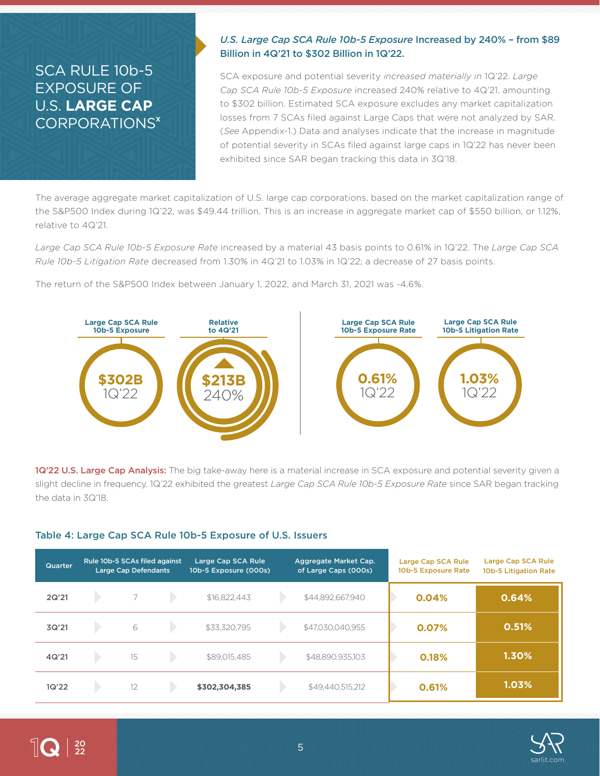## SCA RULE 10b-5 EXPOSURE OF U.S. **LARGE CAP** CORPORATIONS<sup>x</sup>

### *U.S. Large Cap SCA Rule 10b-5 Exposure* Increased by 240% – from \$89 Billion in 4Q'21 to \$302 Billion in 1Q'22.

SCA exposure and potential severity *increased materially in* 1Q'22. *Large Cap SCA Rule 10b-5 Exposure* increased 240% relative to 4Q'21, amounting to \$302 billion. Estimated SCA exposure excludes any market capitalization losses from 7 SCAs filed against Large Caps that were not analyzed by SAR. (*See* Appendix-1.) Data and analyses indicate that the increase in magnitude of potential severity in SCAs filed against large caps in 1Q'22 has never been exhibited since SAR began tracking this data in 3Q'18.

The average aggregate market capitalization of U.S. large cap corporations, based on the market capitalization range of the S&P500 Index during 1Q'22, was \$49.44 trillion. This is an increase in aggregate market cap of \$550 billion, or 1.12%, relative to 4Q'21.

*Large Cap SCA Rule 10b-5 Exposure Rate* increased by a material 43 basis points to 0.61% in 1Q'22. The *Large Cap SCA Rule 10b-5 Litigation Rate* decreased from 1.30% in 4Q'21 to 1.03% in 1Q'22; a decrease of 27 basis points.

The return of the S&P500 Index between January 1, 2022, and March 31, 2021 was -4.6%.



1Q'22 U.S. Large Cap Analysis: The big take-away here is a material increase in SCA exposure and potential severity given a slight decline in frequency. 1Q'22 exhibited the greatest *Large Cap SCA Rule 10b-5 Exposure Rate* since SAR began tracking the data in 3Q'18.

### Table 4: Large Cap SCA Rule 10b-5 Exposure of U.S. Issuers

| Quarter | Rule 10b-5 SCAs filed against<br><b>Large Cap Defendants</b> | Large Cap SCA Rule<br>10b-5 Exposure (000s) | Aggregate Market Cap.<br>of Large Caps (000s) | Large Cap SCA Rule<br>10b-5 Exposure Rate | Large Cap SCA Rule<br><b>10b-5 Litigation Rate</b> |
|---------|--------------------------------------------------------------|---------------------------------------------|-----------------------------------------------|-------------------------------------------|----------------------------------------------------|
| 2Q'21   |                                                              | \$16.822.443                                | \$44,892,667,940                              | 0.04%                                     | 0.64%                                              |
| 3Q'21   | 6                                                            | \$33,320,795                                | \$47,030,040,955                              | 0.07%                                     | 0.51%                                              |
| 4Q'21   | 15                                                           | \$89,015,485                                | \$48,890,935,103                              | 0.18%                                     | 1.30%                                              |
| 1Q'22   | 12                                                           | \$302,304,385                               | \$49,440,515,212                              | 0.61%                                     | 1.03%                                              |

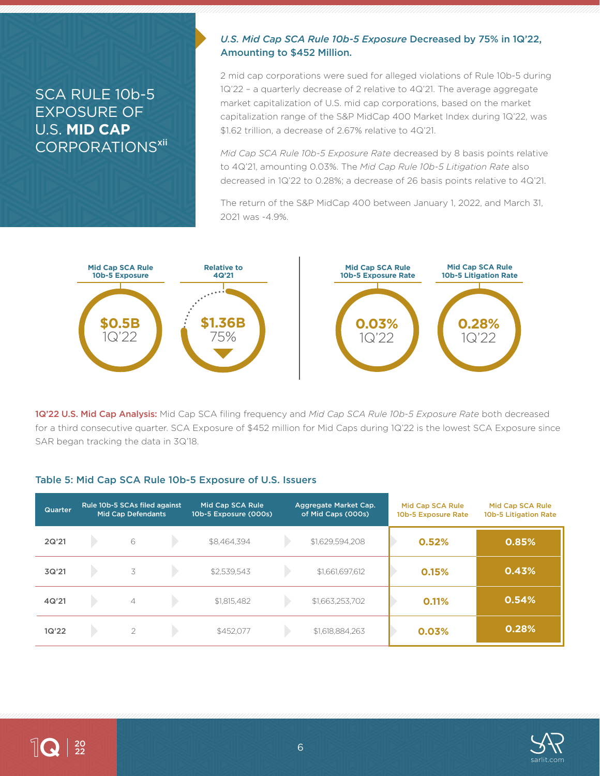## SCA RULE 10b-5 EXPOSURE OF U.S. **MID CAP** CORPORATIONS<sup>xii</sup>

### *U.S. Mid Cap SCA Rule 10b-5 Exposure* Decreased by 75% in 1Q'22, Amounting to \$452 Million.

2 mid cap corporations were sued for alleged violations of Rule 10b-5 during 1Q'22 – a quarterly decrease of 2 relative to 4Q'21. The average aggregate market capitalization of U.S. mid cap corporations, based on the market capitalization range of the S&P MidCap 400 Market Index during 1Q'22, was \$1.62 trillion, a decrease of 2.67% relative to 4Q'21.

*Mid Cap SCA Rule 10b-5 Exposure Rate* decreased by 8 basis points relative to 4Q'21, amounting 0.03%. The *Mid Cap Rule 10b-5 Litigation Rate* also decreased in 1Q'22 to 0.28%; a decrease of 26 basis points relative to 4Q'21.

The return of the S&P MidCap 400 between January 1, 2022, and March 31, 2021 was -4.9%.



1Q'22 U.S. Mid Cap Analysis: Mid Cap SCA filing frequency and *Mid Cap SCA Rule 10b-5 Exposure Rate* both decreased for a third consecutive quarter. SCA Exposure of \$452 million for Mid Caps during 1Q'22 is the lowest SCA Exposure since SAR began tracking the data in 3Q'18.

#### Table 5: Mid Cap SCA Rule 10b-5 Exposure of U.S. Issuers

| Quarter | Rule 10b-5 SCAs filed against<br><b>Mid Cap Defendants</b> | Mid Cap SCA Rule<br>10b-5 Exposure (000s) | Aggregate Market Cap.<br>of Mid Caps (000s) | Mid Cap SCA Rule<br>10b-5 Exposure Rate | Mid Cap SCA Rule<br>10b-5 Litigation Rate |
|---------|------------------------------------------------------------|-------------------------------------------|---------------------------------------------|-----------------------------------------|-------------------------------------------|
| 2Q'21   | 6                                                          | \$8,464,394                               | \$1,629,594,208                             | 0.52%                                   | 0.85%                                     |
| 3Q'21   | 3                                                          | \$2,539,543                               | \$1,661,697,612                             | 0.15%                                   | 0.43%                                     |
| 4Q'21   | $\overline{4}$                                             | \$1,815,482                               | \$1,663,253,702                             | 0.11%                                   | 0.54%                                     |
| 1Q'22   | 2                                                          | \$452.077                                 | \$1,618,884,263                             | 0.03%                                   | 0.28%                                     |

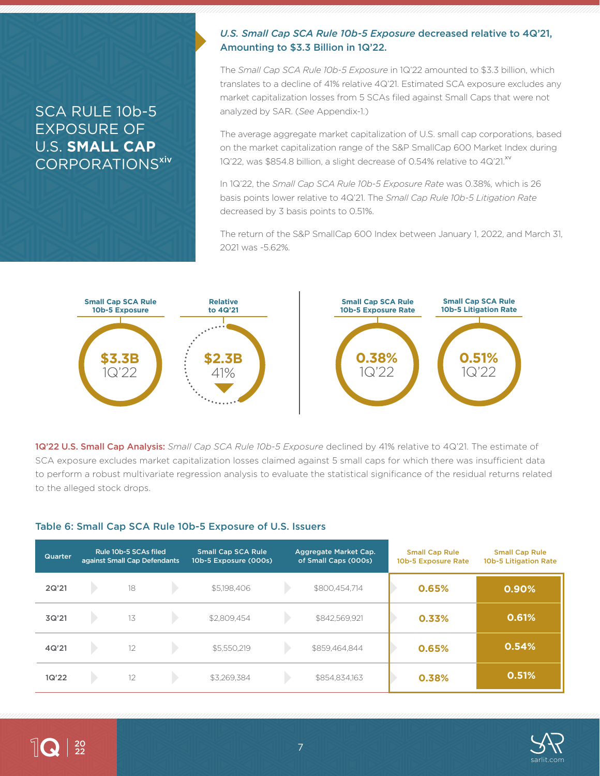## SCA RULE 10b-5 EXPOSURE OF U.S. **SMALL CAP** CORPORATIONS<sup>xiv</sup>

#### *U.S. Small Cap SCA Rule 10b-5 Exposure* decreased relative to 4Q'21, Amounting to \$3.3 Billion in 1Q'22.

The *Small Cap SCA Rule 10b-5 Exposure* in 1Q'22 amounted to \$3.3 billion, which translates to a decline of 41% relative 4Q'21. Estimated SCA exposure excludes any market capitalization losses from 5 SCAs filed against Small Caps that were not analyzed by SAR. (*See* Appendix-1.)

The average aggregate market capitalization of U.S. small cap corporations, based on the market capitalization range of the S&P SmallCap 600 Market Index during 1Q'22, was \$854.8 billion, a slight decrease of 0.54% relative to 4Q'21.<sup>xv</sup>

In 1Q'22, the *Small Cap SCA Rule 10b-5 Exposure Rate* was 0.38%, which is 26 basis points lower relative to 4Q'21. The *Small Cap Rule 10b-5 Litigation Rate* decreased by 3 basis points to 0.51%.

The return of the S&P SmallCap 600 Index between January 1, 2022, and March 31, 2021 was -5.62%.



1Q'22 U.S. Small Cap Analysis: *Small Cap SCA Rule 10b-5 Exposure* declined by 41% relative to 4Q'21. The estimate of SCA exposure excludes market capitalization losses claimed against 5 small caps for which there was insufficient data to perform a robust multivariate regression analysis to evaluate the statistical significance of the residual returns related to the alleged stock drops.

#### Table 6: Small Cap SCA Rule 10b-5 Exposure of U.S. Issuers

| Quarter <sup>'</sup> | Rule 10b-5 SCAs filed<br>against Small Cap Defendants | <b>Small Cap SCA Rule</b><br>10b-5 Exposure (000s) | Aggregate Market Cap.<br>of Small Caps (000s) | <b>Small Cap Rule</b><br>10b-5 Exposure Rate | <b>Small Cap Rule</b><br>10b-5 Litigation Rate |
|----------------------|-------------------------------------------------------|----------------------------------------------------|-----------------------------------------------|----------------------------------------------|------------------------------------------------|
| 2Q'21                | 18                                                    | \$5,198,406                                        | \$800,454,714                                 | 0.65%                                        | 0.90%                                          |
| 3Q'21                | 13                                                    | \$2,809,454                                        | \$842,569,921                                 | 0.33%                                        | 0.61%                                          |
| 4Q'21                | 12                                                    | \$5,550,219                                        | \$859,464,844                                 | 0.65%                                        | 0.54%                                          |
| 1Q'22                | 12                                                    | \$3.269.384                                        | \$854,834,163                                 | 0.38%                                        | 0.51%                                          |



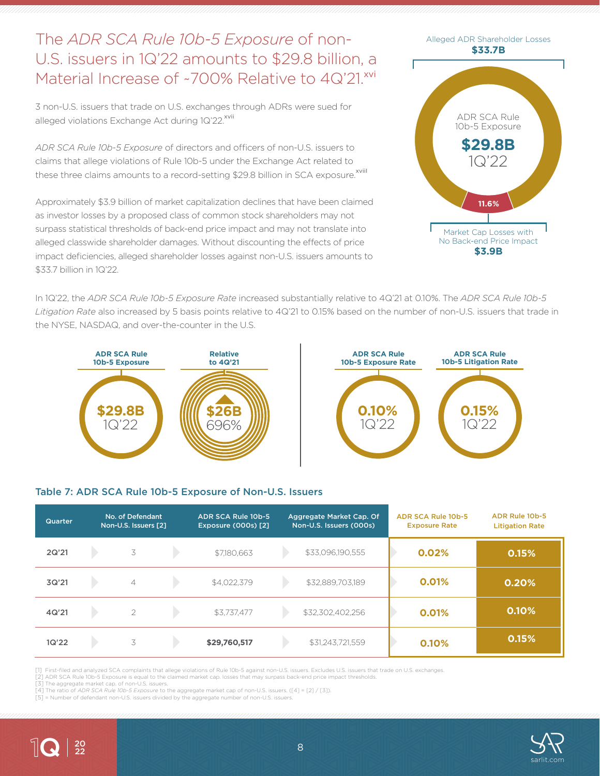## The *ADR SCA Rule 10b-5 Exposure* of non-U.S. issuers in 1Q'22 amounts to \$29.8 billion, a Material Increase of ~700% Relative to 40'21.xvi

3 non-U.S. issuers that trade on U.S. exchanges through ADRs were sued for alleged violations Exchange Act during 1Q'22.<sup>xvii</sup>

*ADR SCA Rule 10b-5 Exposure* of directors and officers of non-U.S. issuers to claims that allege violations of Rule 10b-5 under the Exchange Act related to these three claims amounts to a record-setting \$29.8 billion in SCA exposure.<sup>xviil</sup>

Approximately \$3.9 billion of market capitalization declines that have been claimed as investor losses by a proposed class of common stock shareholders may not surpass statistical thresholds of back-end price impact and may not translate into alleged classwide shareholder damages. Without discounting the effects of price impact deficiencies, alleged shareholder losses against non-U.S. issuers amounts to \$33.7 billion in 1Q'22.



In 1Q'22, the *ADR SCA Rule 10b-5 Exposure Rate* increased substantially relative to 4Q'21 at 0.10%. The *ADR SCA Rule 10b-5 Litigation Rate* also increased by 5 basis points relative to 4Q'21 to 0.15% based on the number of non-U.S. issuers that trade in the NYSE, NASDAQ, and over-the-counter in the U.S.





#### Table 7: ADR SCA Rule 10b-5 Exposure of Non-U.S. Issuers

| Quarter | No. of Defendant<br>Non-U.S. Issuers [2] | ADR SCA Rule 10b-5<br><b>Exposure (000s) [2]</b> | Aggregate Market Cap. Of<br>Non-U.S. Issuers (000s) | ADR SCA Rule 10b-5<br><b>Exposure Rate</b> | <b>ADR Rule 10b-5</b><br><b>Litigation Rate</b> |
|---------|------------------------------------------|--------------------------------------------------|-----------------------------------------------------|--------------------------------------------|-------------------------------------------------|
| 2Q'21   | 3                                        | \$7,180,663                                      | \$33,096,190,555                                    | 0.02%                                      | 0.15%                                           |
| 3Q'21   | $\overline{4}$                           | \$4,022,379                                      | \$32,889,703,189                                    | 0.01%                                      | 0.20%                                           |
| 4Q'21   | $\overline{2}$                           | \$3,737,477                                      | \$32,302,402,256                                    | 0.01%                                      | 0.10%                                           |
| 1Q'22   | 3                                        | \$29,760,517                                     | \$31,243,721,559                                    | 0.10%                                      | 0.15%                                           |

[1] First-filed and analyzed SCA complaints that allege violations of Rule 10b-5 against non-U.S. issuers. Excludes U.S. issuers that trade on U.S. exchanges.

[2] ADR SCA Rule 10b-5 Exposure is equal to the claimed market cap. losses that may surpass back-end price impact thresholds. [3] The aggregate market cap. of non-U.S. issuers.

[4] The ratio of *ADR SCA Rule 10b-5 Exposure* to the aggregate market cap of non-U.S. issuers. ([4] = [2] / [3]).

[5] = Number of defendant non-U.S. issuers divided by the aggregate number of non-U.S. issuers



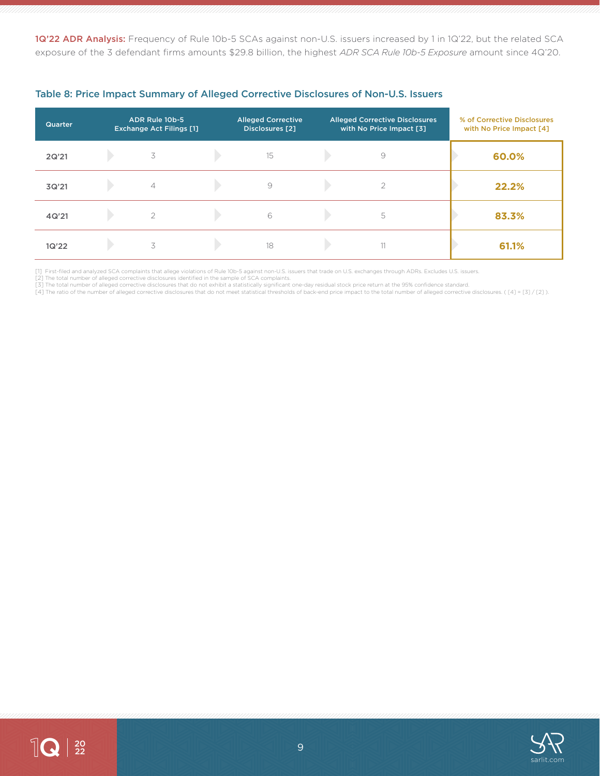1Q'22 ADR Analysis: Frequency of Rule 10b-5 SCAs against non-U.S. issuers increased by 1 in 1Q'22, but the related SCA exposure of the 3 defendant firms amounts \$29.8 billion, the highest *ADR SCA Rule 10b-5 Exposure* amount since 4Q'20.

| Quarter | ADR Rule 10b-5<br><b>Exchange Act Filings [1]</b> | <b>Alleged Corrective</b><br><b>Disclosures</b> [2] | <b>Alleged Corrective Disclosures</b><br>with No Price Impact [3] | % of Corrective Disclosures<br>with No Price Impact [4] |
|---------|---------------------------------------------------|-----------------------------------------------------|-------------------------------------------------------------------|---------------------------------------------------------|
| 2Q'21   | 3                                                 | 15                                                  | $\circ$                                                           | 60.0%                                                   |
| 3Q'21   | $\overline{4}$                                    | $\circ$                                             | $\overline{2}$                                                    | 22.2%                                                   |
| 4Q'21   | $\overline{\phantom{a}}$                          | 6                                                   | 5                                                                 | 83.3%                                                   |
| 1Q'22   | 3                                                 | 18                                                  | 11                                                                | 61.1%                                                   |

#### Table 8: Price Impact Summary of Alleged Corrective Disclosures of Non-U.S. Issuers

[1] First-filed and analyzed SCA complaints that allege violations of Rule 10b-5 against non-U.S. issuers that trade on U.S. exchanges through ADRs. Excludes U.S. issuers.<br>[2] The total number of alleged corrective disclos

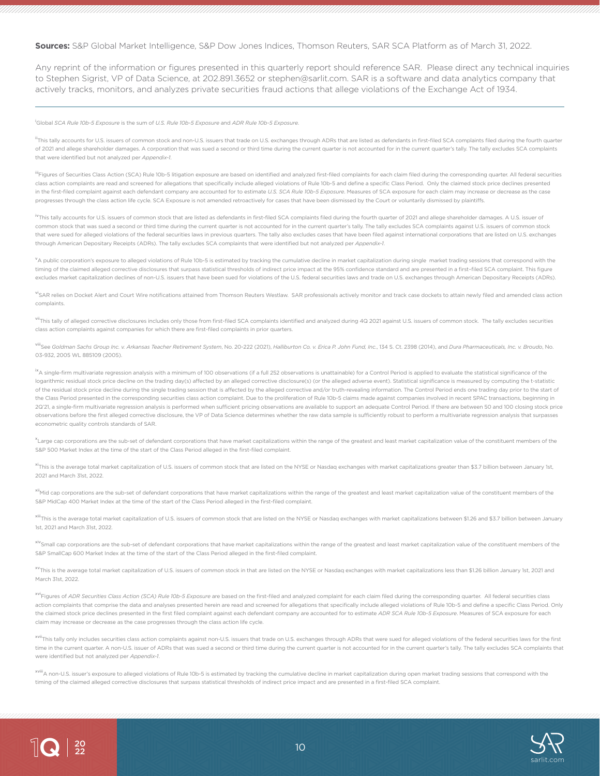#### **Sources:** S&P Global Market Intelligence, S&P Dow Jones Indices, Thomson Reuters, SAR SCA Platform as of March 31, 2022.

Any reprint of the information or figures presented in this quarterly report should reference SAR. Please direct any technical inquiries to Stephen Sigrist, VP of Data Science, at 202.891.3652 or stephen@sarlit.com. SAR is a software and data analytics company that actively tracks, monitors, and analyzes private securities fraud actions that allege violations of the Exchange Act of 1934.

i Global *SCA Rule 10b-5 Exposure* is the sum of *U.S. Rule 10b-5 Exposure* and *ADR Rule 10b-5 Exposure*.

 $\|$ Q  $|_{\frac{20}{22}}$ 

<sup>ii</sup>This tally accounts for U.S. issuers of common stock and non-U.S. issuers that trade on U.S. exchanges through ADRs that are listed as defendants in first-filed SCA complaints filed during the fourth quarter of 2021 and allege shareholder damages. A corporation that was sued a second or third time during the current quarter is not accounted for in the current quarter's tally. The tally excludes SCA complaints that were identified but not analyzed per *Appendix-1*.

iiiFigures of Securities Class Action (SCA) Rule 10b-5 litigation exposure are based on identified and analyzed first-filed complaints for each claim filed during the corresponding quarter. All federal securities class action complaints are read and screened for allegations that specifically include alleged violations of Rule 10b-5 and define a specific Class Period. Only the claimed stock price declines presented in the first-filed complaint against each defendant company are accounted for to estimate *U.S. SCA Rule 10b-5 Exposure*. Measures of SCA exposure for each claim may increase or decrease as the case progresses through the class action life cycle. SCA Exposure is not amended retroactively for cases that have been dismissed by the Court or voluntarily dismissed by plaintiffs.

<sup>iv</sup>This tally accounts for U.S. issuers of common stock that are listed as defendants in first-filed SCA complaints filed during the fourth quarter of 2021 and allege shareholder damages. A U.S. issuer of common stock that was sued a second or third time during the current quarter is not accounted for in the current quarter's tally. The tally excludes SCA complaints against U.S. issuers of common stock that were sued for alleged violations of the federal securities laws in previous quarters. The tally also excludes cases that have been filed against international corporations that are listed on U.S. exchanges through American Depositary Receipts (ADRs). The tally excludes SCA complaints that were identified but not analyzed per *Appendix-1*.

<sup>v</sup>A public corporation's exposure to alleged violations of Rule 10b-5 is estimated by tracking the cumulative decline in market capitalization during single market trading sessions that correspond with the timing of the claimed alleged corrective disclosures that surpass statistical thresholds of indirect price impact at the 95% confidence standard and are presented in a first–filed SCA complaint. This figure excludes market capitalization declines of non-U.S. issuers that have been sued for violations of the U.S. federal securities laws and trade on U.S. exchanges through American Depositary Receipts (ADRs).

<sup>vi</sup>SAR relies on Docket Alert and Court Wire notifications attained from Thomson Reuters Westlaw. SAR professionals actively monitor and track case dockets to attain newly filed and amended class action complaints.

<sup>vii</sup>This tally of alleged corrective disclosures includes only those from first-filed SCA complaints identified and analyzed during 4Q 2021 against U.S. issuers of common stock. The tally excludes securities class action complaints against companies for which there are first-filed complaints in prior quarters.

<sup>viii</sup>See Goldman Sachs Group Inc. v. Arkansas Teacher Retirement System, No. 20-222 (2021), Halliburton Co. v. Erica P. John Fund, Inc., 134 S. Ct. 2398 (2014), and Dura Pharmaceuticals, Inc. v. Broudo, No. 03-932, 2005 WL 885109 (2005).

ixA single-firm multivariate regression analysis with a minimum of 100 observations (if a full 252 observations is unattainable) for a Control Period is applied to evaluate the statistical significance of the logarithmic residual stock price decline on the trading day(s) affected by an alleged corrective disclosure(s) (or the alleged adverse event). Statistical significance is measured by computing the t-statistic of the residual stock price decline during the single trading session that is affected by the alleged corrective and/or truth-revealing information. The Control Period ends one trading day prior to the start of the Class Period presented in the corresponding securities class action complaint. Due to the proliferation of Rule 10b-5 claims made against companies involved in recent SPAC transactions, beginning in 2Q'21, a single-firm multivariate regression analysis is performed when sufficient pricing observations are available to support an adequate Control Period. If there are between 50 and 100 closing stock price observations before the first alleged corrective disclosure, the VP of Data Science determines whether the raw data sample is sufficiently robust to perform a multivariate regression analysis that surpasses econometric quality controls standards of SAR.

x<br>Large cap corporations are the sub-set of defendant corporations that have market capitalizations within the range of the greatest and least market capitalization value of the constituent members of the S&P 500 Market Index at the time of the start of the Class Period alleged in the first-filed complaint.

xiThis is the average total market capitalization of U.S. issuers of common stock that are listed on the NYSE or Nasdaq exchanges with market capitalizations greater than \$3.7 billion between January 1st, 2021 and March 31st, 2022.

xii<sub>Mid cap corporations are the sub-set of defendant corporations that have market capitalizations within the range of the greatest and least market capitalization value of the constituent members of the</sub> S&P MidCap 400 Market Index at the time of the start of the Class Period alleged in the first-filed complaint.

<sup>xiii</sup>This is the average total market capitalization of U.S. issuers of common stock that are listed on the NYSE or Nasdaq exchanges with market capitalizations between \$1.26 and \$3.7 billion between January 1st, 2021 and March 31st, 2022.

<sup>xiv</sup>Small cap corporations are the sub-set of defendant corporations that have market capitalizations within the range of the greatest and least market capitalization value of the constituent members of the S&P SmallCap 600 Market Index at the time of the start of the Class Period alleged in the first-filed complaint.

xvThis is the average total market capitalization of U.S. issuers of common stock in that are listed on the NYSE or Nasdaq exchanges with market capitalizations less than \$1.26 billion January 1st, 2021 and March 31st, 2022.

x<sup>vi</sup>Figures of *ADR Securities Class Action (SCA) Rule 10b-5 Exposure* are based on the first-filed and analyzed complaint for each claim filed during the corresponding quarter. All federal securities class action complaints that comprise the data and analyses presented herein are read and screened for allegations that specifically include alleged violations of Rule 10b-5 and define a specific Class Period. Only the claimed stock price declines presented in the first filed complaint against each defendant company are accounted for to estimate *ADR SCA Rule 10b-5 Exposure*. Measures of SCA exposure for each claim may increase or decrease as the case progresses through the class action life cycle.

xviiThis tally only includes securities class action complaints against non-U.S. issuers that trade on U.S. exchanges through ADRs that were sued for alleged violations of the federal securities laws for the first time in the current quarter. A non-U.S. issuer of ADRs that was sued a second or third time during the current quarter is not accounted for in the current quarter's tally. The tally excludes SCA complaints that were identified but not analyzed per *Appendix-1*.

xviii<sub>A</sub> non-U.S. issuer's exposure to alleged violations of Rule 10b-5 is estimated by tracking the cumulative decline in market capitalization during open market trading sessions that correspond with the timing of the claimed alleged corrective disclosures that surpass statistical thresholds of indirect price impact and are presented in a first-filed SCA complaint.